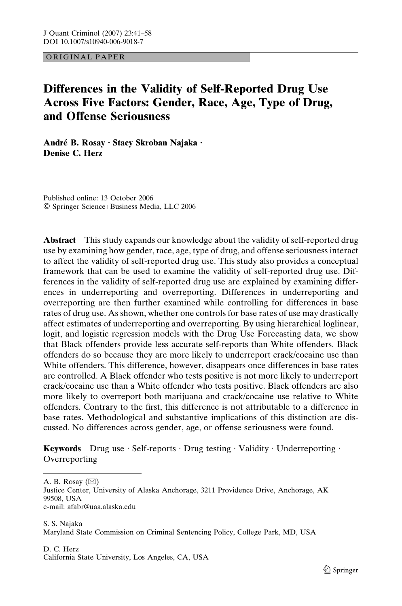# ORIGINAL PAPER

# Differences in the Validity of Self-Reported Drug Use Across Five Factors: Gender, Race, Age, Type of Drug, and Offense Seriousness

André B. Rosay · Stacy Skroban Najaka · Denise C. Herz

Published online: 13 October 2006 Springer Science+Business Media, LLC 2006

Abstract This study expands our knowledge about the validity of self-reported drug use by examining how gender, race, age, type of drug, and offense seriousness interact to affect the validity of self-reported drug use. This study also provides a conceptual framework that can be used to examine the validity of self-reported drug use. Differences in the validity of self-reported drug use are explained by examining differences in underreporting and overreporting. Differences in underreporting and overreporting are then further examined while controlling for differences in base rates of drug use. As shown, whether one controls for base rates of use may drastically affect estimates of underreporting and overreporting. By using hierarchical loglinear, logit, and logistic regression models with the Drug Use Forecasting data, we show that Black offenders provide less accurate self-reports than White offenders. Black offenders do so because they are more likely to underreport crack/cocaine use than White offenders. This difference, however, disappears once differences in base rates are controlled. A Black offender who tests positive is not more likely to underreport crack/cocaine use than a White offender who tests positive. Black offenders are also more likely to overreport both marijuana and crack/cocaine use relative to White offenders. Contrary to the first, this difference is not attributable to a difference in base rates. Methodological and substantive implications of this distinction are discussed. No differences across gender, age, or offense seriousness were found.

**Keywords** Drug use · Self-reports · Drug testing · Validity · Underreporting · Overreporting

A. B. Rosay  $(\boxtimes)$ 

Justice Center, University of Alaska Anchorage, 3211 Providence Drive, Anchorage, AK 99508, USA e-mail: afabr@uaa.alaska.edu

S. S. Najaka Maryland State Commission on Criminal Sentencing Policy, College Park, MD, USA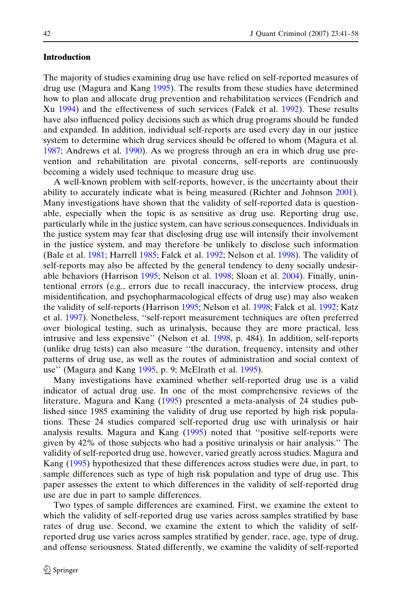#### Introduction

The majority of studies examining drug use have relied on self-reported measures of drug use (Magura and Kang [1995\)](#page-17-0). The results from these studies have determined how to plan and allocate drug prevention and rehabilitation services (Fendrich and Xu [1994](#page-17-0)) and the effectiveness of such services (Falck et al. [1992](#page-16-0)). These results have also influenced policy decisions such as which drug programs should be funded and expanded. In addition, individual self-reports are used every day in our justice system to determine which drug services should be offered to whom (Magura et al. [1987;](#page-17-0) Andrews et al. [1990\)](#page-16-0). As we progress through an era in which drug use prevention and rehabilitation are pivotal concerns, self-reports are continuously becoming a widely used technique to measure drug use.

A well-known problem with self-reports, however, is the uncertainty about their ability to accurately indicate what is being measured (Richter and Johnson [2001](#page-17-0)). Many investigations have shown that the validity of self-reported data is questionable, especially when the topic is as sensitive as drug use. Reporting drug use, particularly while in the justice system, can have serious consequences. Individuals in the justice system may fear that disclosing drug use will intensify their involvement in the justice system, and may therefore be unlikely to disclose such information (Bale et al. [1981](#page-16-0); Harrell [1985](#page-17-0); Falck et al. [1992;](#page-16-0) Nelson et al. [1998](#page-17-0)). The validity of self-reports may also be affected by the general tendency to deny socially undesirable behaviors (Harrison [1995;](#page-17-0) Nelson et al. [1998](#page-17-0); Sloan et al. [2004\)](#page-17-0). Finally, unintentional errors (e.g., errors due to recall inaccuracy, the interview process, drug misidentification, and psychopharmacological effects of drug use) may also weaken the validity of self-reports (Harrison [1995](#page-17-0); Nelson et al. [1998;](#page-17-0) Falck et al. [1992](#page-16-0); Katz et al. [1997\)](#page-17-0). Nonetheless, ''self-report measurement techniques are often preferred over biological testing, such as urinalysis, because they are more practical, less intrusive and less expensive'' (Nelson et al. [1998](#page-17-0), p. 484). In addition, self-reports (unlike drug tests) can also measure ''the duration, frequency, intensity and other patterns of drug use, as well as the routes of administration and social context of use'' (Magura and Kang [1995,](#page-17-0) p. 9; McElrath et al. [1995\)](#page-17-0).

Many investigations have examined whether self-reported drug use is a valid indicator of actual drug use. In one of the most comprehensive reviews of the literature, Magura and Kang [\(1995](#page-17-0)) presented a meta-analysis of 24 studies published since 1985 examining the validity of drug use reported by high risk populations. These 24 studies compared self-reported drug use with urinalysis or hair analysis results. Magura and Kang [\(1995](#page-17-0)) noted that ''positive self-reports were given by 42% of those subjects who had a positive urinalysis or hair analysis.'' The validity of self-reported drug use, however, varied greatly across studies. Magura and Kang [\(1995](#page-17-0)) hypothesized that these differences across studies were due, in part, to sample differences such as type of high risk population and type of drug use. This paper assesses the extent to which differences in the validity of self-reported drug use are due in part to sample differences.

Two types of sample differences are examined. First, we examine the extent to which the validity of self-reported drug use varies across samples stratified by base rates of drug use. Second, we examine the extent to which the validity of selfreported drug use varies across samples stratified by gender, race, age, type of drug, and offense seriousness. Stated differently, we examine the validity of self-reported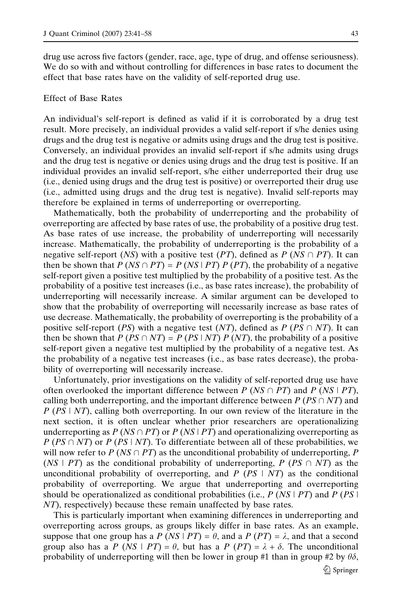drug use across five factors (gender, race, age, type of drug, and offense seriousness). We do so with and without controlling for differences in base rates to document the effect that base rates have on the validity of self-reported drug use.

## Effect of Base Rates

An individual's self-report is defined as valid if it is corroborated by a drug test result. More precisely, an individual provides a valid self-report if s/he denies using drugs and the drug test is negative or admits using drugs and the drug test is positive. Conversely, an individual provides an invalid self-report if s/he admits using drugs and the drug test is negative or denies using drugs and the drug test is positive. If an individual provides an invalid self-report, s/he either underreported their drug use (i.e., denied using drugs and the drug test is positive) or overreported their drug use (i.e., admitted using drugs and the drug test is negative). Invalid self-reports may therefore be explained in terms of underreporting or overreporting.

Mathematically, both the probability of underreporting and the probability of overreporting are affected by base rates of use, the probability of a positive drug test. As base rates of use increase, the probability of underreporting will necessarily increase. Mathematically, the probability of underreporting is the probability of a negative self-report (NS) with a positive test (PT), defined as  $P$  (NS  $\cap$  PT). It can then be shown that  $P (NS \cap PT) = P (NS \mid PT) P (PT)$ , the probability of a negative self-report given a positive test multiplied by the probability of a positive test. As the probability of a positive test increases (i.e., as base rates increase), the probability of underreporting will necessarily increase. A similar argument can be developed to show that the probability of overreporting will necessarily increase as base rates of use decrease. Mathematically, the probability of overreporting is the probability of a positive self-report (PS) with a negative test (NT), defined as  $P$  (PS  $\cap$  NT). It can then be shown that  $P (PS \cap NT) = P (PS \mid NT) P (NT)$ , the probability of a positive self-report given a negative test multiplied by the probability of a negative test. As the probability of a negative test increases (i.e., as base rates decrease), the probability of overreporting will necessarily increase.

Unfortunately, prior investigations on the validity of self-reported drug use have often overlooked the important difference between  $P (NS \cap PT)$  and  $P (NS | PT)$ , calling both underreporting, and the important difference between  $P$  ( $PS \cap NT$ ) and  $P (PS | NT)$ , calling both overreporting. In our own review of the literature in the next section, it is often unclear whether prior researchers are operationalizing underreporting as  $P (NS \cap PT)$  or  $P (NS \mid PT)$  and operationalizing overreporting as  $P (PS \cap NT)$  or  $P (PS \mid NT)$ . To differentiate between all of these probabilities, we will now refer to  $P (NS \cap PT)$  as the unconditional probability of underreporting, P (NS | PT) as the conditional probability of underreporting, P (PS  $\cap$  NT) as the unconditional probability of overreporting, and  $P (PS | NT)$  as the conditional probability of overreporting. We argue that underreporting and overreporting should be operationalized as conditional probabilities (i.e.,  $P(NS | PT)$  and  $P(PS)$ NT), respectively) because these remain unaffected by base rates.

This is particularly important when examining differences in underreporting and overreporting across groups, as groups likely differ in base rates. As an example, suppose that one group has a P (NS | PT) =  $\theta$ , and a P (PT) =  $\lambda$ , and that a second group also has a P (NS | PT) =  $\theta$ , but has a P (PT) =  $\lambda + \delta$ . The unconditional probability of underreporting will then be lower in group #1 than in group #2 by  $\theta \delta$ ,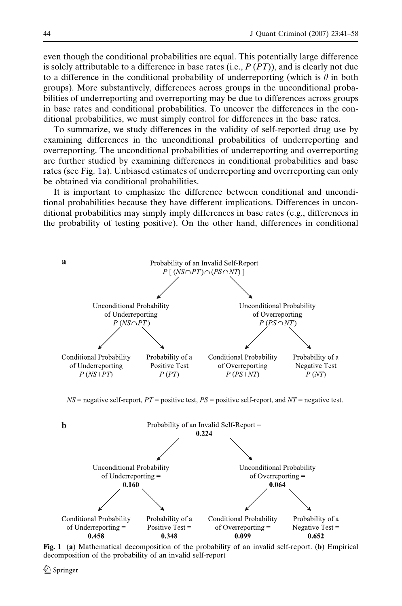<span id="page-3-0"></span>even though the conditional probabilities are equal. This potentially large difference is solely attributable to a difference in base rates (i.e.,  $P(PT)$ ), and is clearly not due to a difference in the conditional probability of underreporting (which is  $\theta$  in both groups). More substantively, differences across groups in the unconditional probabilities of underreporting and overreporting may be due to differences across groups in base rates and conditional probabilities. To uncover the differences in the conditional probabilities, we must simply control for differences in the base rates.

To summarize, we study differences in the validity of self-reported drug use by examining differences in the unconditional probabilities of underreporting and overreporting. The unconditional probabilities of underreporting and overreporting are further studied by examining differences in conditional probabilities and base rates (see Fig. 1a). Unbiased estimates of underreporting and overreporting can only be obtained via conditional probabilities.

It is important to emphasize the difference between conditional and unconditional probabilities because they have different implications. Differences in unconditional probabilities may simply imply differences in base rates (e.g., differences in the probability of testing positive). On the other hand, differences in conditional



Fig. 1 (a) Mathematical decomposition of the probability of an invalid self-report. (b) Empirical decomposition of the probability of an invalid self-report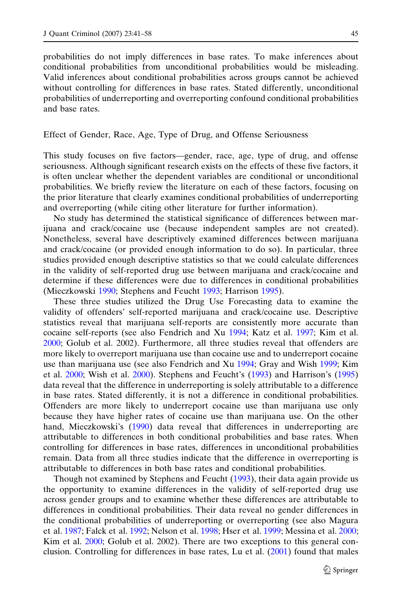probabilities do not imply differences in base rates. To make inferences about conditional probabilities from unconditional probabilities would be misleading. Valid inferences about conditional probabilities across groups cannot be achieved without controlling for differences in base rates. Stated differently, unconditional probabilities of underreporting and overreporting confound conditional probabilities and base rates.

## Effect of Gender, Race, Age, Type of Drug, and Offense Seriousness

This study focuses on five factors—gender, race, age, type of drug, and offense seriousness. Although significant research exists on the effects of these five factors, it is often unclear whether the dependent variables are conditional or unconditional probabilities. We briefly review the literature on each of these factors, focusing on the prior literature that clearly examines conditional probabilities of underreporting and overreporting (while citing other literature for further information).

No study has determined the statistical significance of differences between marijuana and crack/cocaine use (because independent samples are not created). Nonetheless, several have descriptively examined differences between marijuana and crack/cocaine (or provided enough information to do so). In particular, three studies provided enough descriptive statistics so that we could calculate differences in the validity of self-reported drug use between marijuana and crack/cocaine and determine if these differences were due to differences in conditional probabilities (Mieczkowski [1990;](#page-17-0) Stephens and Feucht [1993;](#page-17-0) Harrison [1995\)](#page-17-0).

These three studies utilized the Drug Use Forecasting data to examine the validity of offenders' self-reported marijuana and crack/cocaine use. Descriptive statistics reveal that marijuana self-reports are consistently more accurate than cocaine self-reports (see also Fendrich and Xu [1994](#page-17-0); Katz et al. [1997](#page-17-0); Kim et al. [2000;](#page-17-0) Golub et al. 2002). Furthermore, all three studies reveal that offenders are more likely to overreport marijuana use than cocaine use and to underreport cocaine use than marijuana use (see also Fendrich and Xu [1994](#page-17-0); Gray and Wish [1999;](#page-17-0) Kim et al. [2000;](#page-17-0) Wish et al. [2000\)](#page-17-0). Stephens and Feucht's ([1993\)](#page-17-0) and Harrison's ([1995\)](#page-17-0) data reveal that the difference in underreporting is solely attributable to a difference in base rates. Stated differently, it is not a difference in conditional probabilities. Offenders are more likely to underreport cocaine use than marijuana use only because they have higher rates of cocaine use than marijuana use. On the other hand, Mieczkowski's ([1990\)](#page-17-0) data reveal that differences in underreporting are attributable to differences in both conditional probabilities and base rates. When controlling for differences in base rates, differences in unconditional probabilities remain. Data from all three studies indicate that the difference in overreporting is attributable to differences in both base rates and conditional probabilities.

Though not examined by Stephens and Feucht [\(1993](#page-17-0)), their data again provide us the opportunity to examine differences in the validity of self-reported drug use across gender groups and to examine whether these differences are attributable to differences in conditional probabilities. Their data reveal no gender differences in the conditional probabilities of underreporting or overreporting (see also Magura et al. [1987;](#page-17-0) Falck et al. [1992](#page-16-0); Nelson et al. [1998](#page-17-0); Hser et al. [1999](#page-17-0); Messina et al. [2000](#page-17-0); Kim et al. [2000](#page-17-0); Golub et al. 2002). There are two exceptions to this general conclusion. Controlling for differences in base rates, Lu et al. [\(2001](#page-17-0)) found that males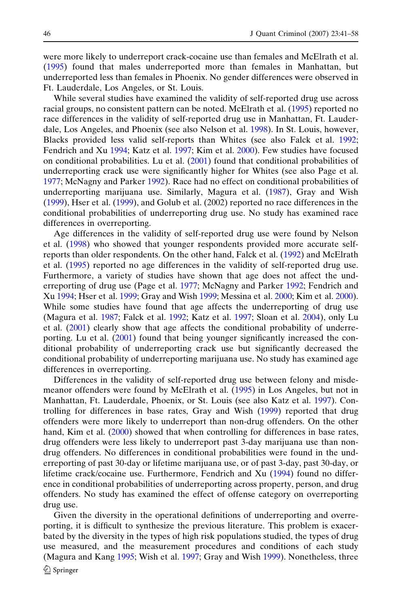were more likely to underreport crack-cocaine use than females and McElrath et al. [\(1995](#page-17-0)) found that males underreported more than females in Manhattan, but underreported less than females in Phoenix. No gender differences were observed in Ft. Lauderdale, Los Angeles, or St. Louis.

While several studies have examined the validity of self-reported drug use across racial groups, no consistent pattern can be noted. McElrath et al. ([1995\)](#page-17-0) reported no race differences in the validity of self-reported drug use in Manhattan, Ft. Lauderdale, Los Angeles, and Phoenix (see also Nelson et al. [1998\)](#page-17-0). In St. Louis, however, Blacks provided less valid self-reports than Whites (see also Falck et al. [1992](#page-16-0); Fendrich and Xu [1994;](#page-17-0) Katz et al. [1997](#page-17-0); Kim et al. [2000](#page-17-0)). Few studies have focused on conditional probabilities. Lu et al. [\(2001](#page-17-0)) found that conditional probabilities of underreporting crack use were significantly higher for Whites (see also Page et al. [1977;](#page-17-0) McNagny and Parker [1992\)](#page-17-0). Race had no effect on conditional probabilities of underreporting marijuana use. Similarly, Magura et al. [\(1987](#page-17-0)), Gray and Wish [\(1999](#page-17-0)), Hser et al. [\(1999](#page-17-0)), and Golub et al. (2002) reported no race differences in the conditional probabilities of underreporting drug use. No study has examined race differences in overreporting.

Age differences in the validity of self-reported drug use were found by Nelson et al. [\(1998](#page-17-0)) who showed that younger respondents provided more accurate selfreports than older respondents. On the other hand, Falck et al. [\(1992](#page-16-0)) and McElrath et al. ([1995\)](#page-17-0) reported no age differences in the validity of self-reported drug use. Furthermore, a variety of studies have shown that age does not affect the underreporting of drug use (Page et al. [1977;](#page-17-0) McNagny and Parker [1992](#page-17-0); Fendrich and Xu [1994](#page-17-0); Hser et al. [1999](#page-17-0); Gray and Wish [1999;](#page-17-0) Messina et al. [2000](#page-17-0); Kim et al. [2000](#page-17-0)). While some studies have found that age affects the underreporting of drug use (Magura et al. [1987;](#page-17-0) Falck et al. [1992](#page-16-0); Katz et al. [1997](#page-17-0); Sloan et al. [2004](#page-17-0)), only Lu et al. [\(2001](#page-17-0)) clearly show that age affects the conditional probability of underreporting. Lu et al. ([2001\)](#page-17-0) found that being younger significantly increased the conditional probability of underreporting crack use but significantly decreased the conditional probability of underreporting marijuana use. No study has examined age differences in overreporting.

Differences in the validity of self-reported drug use between felony and misdemeanor offenders were found by McElrath et al. ([1995\)](#page-17-0) in Los Angeles, but not in Manhattan, Ft. Lauderdale, Phoenix, or St. Louis (see also Katz et al. [1997\)](#page-17-0). Controlling for differences in base rates, Gray and Wish [\(1999](#page-17-0)) reported that drug offenders were more likely to underreport than non-drug offenders. On the other hand, Kim et al. [\(2000](#page-17-0)) showed that when controlling for differences in base rates, drug offenders were less likely to underreport past 3-day marijuana use than nondrug offenders. No differences in conditional probabilities were found in the underreporting of past 30-day or lifetime marijuana use, or of past 3-day, past 30-day, or lifetime crack/cocaine use. Furthermore, Fendrich and Xu ([1994\)](#page-17-0) found no difference in conditional probabilities of underreporting across property, person, and drug offenders. No study has examined the effect of offense category on overreporting drug use.

Given the diversity in the operational definitions of underreporting and overreporting, it is difficult to synthesize the previous literature. This problem is exacerbated by the diversity in the types of high risk populations studied, the types of drug use measured, and the measurement procedures and conditions of each study (Magura and Kang [1995;](#page-17-0) Wish et al. [1997;](#page-17-0) Gray and Wish [1999\)](#page-17-0). Nonetheless, three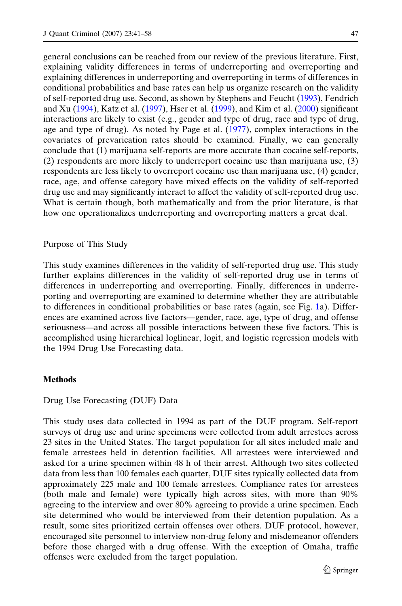general conclusions can be reached from our review of the previous literature. First, explaining validity differences in terms of underreporting and overreporting and explaining differences in underreporting and overreporting in terms of differences in conditional probabilities and base rates can help us organize research on the validity of self-reported drug use. Second, as shown by Stephens and Feucht [\(1993](#page-17-0)), Fendrich and Xu ([1994\)](#page-17-0), Katz et al. [\(1997](#page-17-0)), Hser et al. [\(1999](#page-17-0)), and Kim et al. [\(2000\)](#page-17-0) significant interactions are likely to exist (e.g., gender and type of drug, race and type of drug, age and type of drug). As noted by Page et al. [\(1977\)](#page-17-0), complex interactions in the covariates of prevarication rates should be examined. Finally, we can generally conclude that (1) marijuana self-reports are more accurate than cocaine self-reports, (2) respondents are more likely to underreport cocaine use than marijuana use, (3) respondents are less likely to overreport cocaine use than marijuana use, (4) gender, race, age, and offense category have mixed effects on the validity of self-reported drug use and may significantly interact to affect the validity of self-reported drug use. What is certain though, both mathematically and from the prior literature, is that how one operationalizes underreporting and overreporting matters a great deal.

## Purpose of This Study

This study examines differences in the validity of self-reported drug use. This study further explains differences in the validity of self-reported drug use in terms of differences in underreporting and overreporting. Finally, differences in underreporting and overreporting are examined to determine whether they are attributable to differences in conditional probabilities or base rates (again, see Fig. [1](#page-3-0)a). Differences are examined across five factors—gender, race, age, type of drug, and offense seriousness—and across all possible interactions between these five factors. This is accomplished using hierarchical loglinear, logit, and logistic regression models with the 1994 Drug Use Forecasting data.

## Methods

# Drug Use Forecasting (DUF) Data

This study uses data collected in 1994 as part of the DUF program. Self-report surveys of drug use and urine specimens were collected from adult arrestees across 23 sites in the United States. The target population for all sites included male and female arrestees held in detention facilities. All arrestees were interviewed and asked for a urine specimen within 48 h of their arrest. Although two sites collected data from less than 100 females each quarter, DUF sites typically collected data from approximately 225 male and 100 female arrestees. Compliance rates for arrestees (both male and female) were typically high across sites, with more than 90% agreeing to the interview and over 80% agreeing to provide a urine specimen. Each site determined who would be interviewed from their detention population. As a result, some sites prioritized certain offenses over others. DUF protocol, however, encouraged site personnel to interview non-drug felony and misdemeanor offenders before those charged with a drug offense. With the exception of Omaha, traffic offenses were excluded from the target population.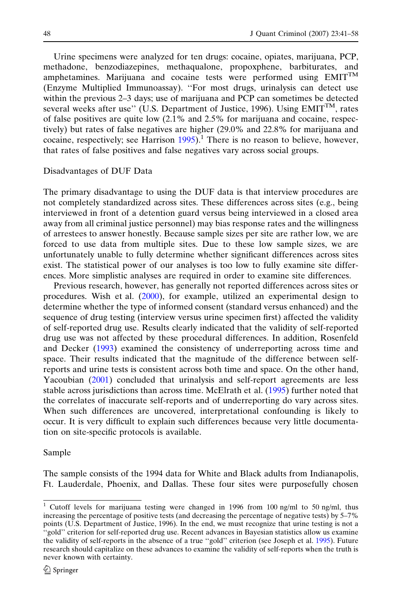Urine specimens were analyzed for ten drugs: cocaine, opiates, marijuana, PCP, methadone, benzodiazepines, methaqualone, propoxphene, barbiturates, and amphetamines. Marijuana and cocaine tests were performed using  $EMIT^{TM}$ (Enzyme Multiplied Immunoassay). ''For most drugs, urinalysis can detect use within the previous 2–3 days; use of marijuana and PCP can sometimes be detected several weeks after use" (U.S. Department of Justice, 1996). Using  $EMIT^{TM}$ , rates of false positives are quite low (2.1% and 2.5% for marijuana and cocaine, respectively) but rates of false negatives are higher (29.0% and 22.8% for marijuana and cocaine, respectively; see Harrison  $1995$ ).<sup>1</sup> There is no reason to believe, however, that rates of false positives and false negatives vary across social groups.

#### Disadvantages of DUF Data

The primary disadvantage to using the DUF data is that interview procedures are not completely standardized across sites. These differences across sites (e.g., being interviewed in front of a detention guard versus being interviewed in a closed area away from all criminal justice personnel) may bias response rates and the willingness of arrestees to answer honestly. Because sample sizes per site are rather low, we are forced to use data from multiple sites. Due to these low sample sizes, we are unfortunately unable to fully determine whether significant differences across sites exist. The statistical power of our analyses is too low to fully examine site differences. More simplistic analyses are required in order to examine site differences.

Previous research, however, has generally not reported differences across sites or procedures. Wish et al. ([2000\)](#page-17-0), for example, utilized an experimental design to determine whether the type of informed consent (standard versus enhanced) and the sequence of drug testing (interview versus urine specimen first) affected the validity of self-reported drug use. Results clearly indicated that the validity of self-reported drug use was not affected by these procedural differences. In addition, Rosenfeld and Decker ([1993\)](#page-17-0) examined the consistency of underreporting across time and space. Their results indicated that the magnitude of the difference between selfreports and urine tests is consistent across both time and space. On the other hand, Yacoubian ([2001\)](#page-17-0) concluded that urinalysis and self-report agreements are less stable across jurisdictions than across time. McElrath et al. ([1995\)](#page-17-0) further noted that the correlates of inaccurate self-reports and of underreporting do vary across sites. When such differences are uncovered, interpretational confounding is likely to occur. It is very difficult to explain such differences because very little documentation on site-specific protocols is available.

#### Sample

The sample consists of the 1994 data for White and Black adults from Indianapolis, Ft. Lauderdale, Phoenix, and Dallas. These four sites were purposefully chosen

<sup>&</sup>lt;sup>1</sup> Cutoff levels for marijuana testing were changed in 1996 from 100 ng/ml to 50 ng/ml, thus increasing the percentage of positive tests (and decreasing the percentage of negative tests) by 5–7% points (U.S. Department of Justice, 1996). In the end, we must recognize that urine testing is not a ''gold'' criterion for self-reported drug use. Recent advances in Bayesian statistics allow us examine the validity of self-reports in the absence of a true "gold" criterion (see Joseph et al. [1995\)](#page-17-0). Future research should capitalize on these advances to examine the validity of self-reports when the truth is never known with certainty.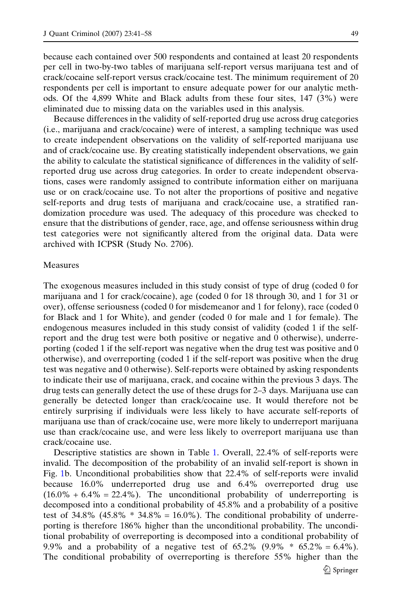because each contained over 500 respondents and contained at least 20 respondents per cell in two-by-two tables of marijuana self-report versus marijuana test and of crack/cocaine self-report versus crack/cocaine test. The minimum requirement of 20 respondents per cell is important to ensure adequate power for our analytic methods. Of the 4,899 White and Black adults from these four sites, 147 (3%) were eliminated due to missing data on the variables used in this analysis.

Because differences in the validity of self-reported drug use across drug categories (i.e., marijuana and crack/cocaine) were of interest, a sampling technique was used to create independent observations on the validity of self-reported marijuana use and of crack/cocaine use. By creating statistically independent observations, we gain the ability to calculate the statistical significance of differences in the validity of selfreported drug use across drug categories. In order to create independent observations, cases were randomly assigned to contribute information either on marijuana use or on crack/cocaine use. To not alter the proportions of positive and negative self-reports and drug tests of marijuana and crack/cocaine use, a stratified randomization procedure was used. The adequacy of this procedure was checked to ensure that the distributions of gender, race, age, and offense seriousness within drug test categories were not significantly altered from the original data. Data were archived with ICPSR (Study No. 2706).

## Measures

The exogenous measures included in this study consist of type of drug (coded 0 for marijuana and 1 for crack/cocaine), age (coded 0 for 18 through 30, and 1 for 31 or over), offense seriousness (coded 0 for misdemeanor and 1 for felony), race (coded 0 for Black and 1 for White), and gender (coded 0 for male and 1 for female). The endogenous measures included in this study consist of validity (coded 1 if the selfreport and the drug test were both positive or negative and 0 otherwise), underreporting (coded 1 if the self-report was negative when the drug test was positive and 0 otherwise), and overreporting (coded 1 if the self-report was positive when the drug test was negative and 0 otherwise). Self-reports were obtained by asking respondents to indicate their use of marijuana, crack, and cocaine within the previous 3 days. The drug tests can generally detect the use of these drugs for 2–3 days. Marijuana use can generally be detected longer than crack/cocaine use. It would therefore not be entirely surprising if individuals were less likely to have accurate self-reports of marijuana use than of crack/cocaine use, were more likely to underreport marijuana use than crack/cocaine use, and were less likely to overreport marijuana use than crack/cocaine use.

Descriptive statistics are shown in Table [1](#page-9-0). Overall, 22.4% of self-reports were invalid. The decomposition of the probability of an invalid self-report is shown in Fig. [1](#page-3-0)b. Unconditional probabilities show that 22.4% of self-reports were invalid because 16.0% underreported drug use and 6.4% overreported drug use  $(16.0\% + 6.4\% = 22.4\%).$  The unconditional probability of underreporting is decomposed into a conditional probability of 45.8% and a probability of a positive test of 34.8% (45.8%  $*$  34.8% = 16.0%). The conditional probability of underreporting is therefore 186% higher than the unconditional probability. The unconditional probability of overreporting is decomposed into a conditional probability of 9.9% and a probability of a negative test of 65.2% (9.9%  $*$  65.2% = 6.4%). The conditional probability of overreporting is therefore 55% higher than the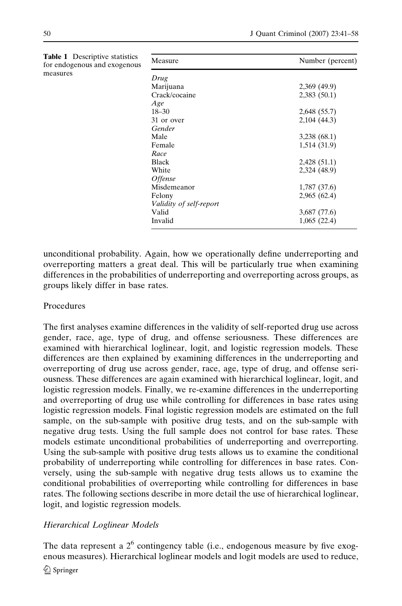| Measure                 | Number (percent) |
|-------------------------|------------------|
| Drug                    |                  |
| Marijuana               | 2,369 (49.9)     |
| Crack/cocaine           | 2,383(50.1)      |
| Age                     |                  |
| $18 - 30$               | 2,648 (55.7)     |
| 31 or over              | 2,104(44.3)      |
| Gender                  |                  |
| Male                    | 3,238 (68.1)     |
| Female                  | 1,514 (31.9)     |
| Race                    |                  |
| Black                   | 2,428(51.1)      |
| White                   | 2,324 (48.9)     |
| <i>Offense</i>          |                  |
| Misdemeanor             | 1,787 (37.6)     |
| Felony                  | 2,965 (62.4)     |
| Validity of self-report |                  |
| Valid                   | 3,687 (77.6)     |
| Invalid                 | 1,065(22.4)      |
|                         |                  |

<span id="page-9-0"></span>Table 1 Descriptive state for endogenous and exog measures

unconditional probability. Again, how we operationally define underreporting and overreporting matters a great deal. This will be particularly true when examining differences in the probabilities of underreporting and overreporting across groups, as groups likely differ in base rates.

## Procedures

The first analyses examine differences in the validity of self-reported drug use across gender, race, age, type of drug, and offense seriousness. These differences are examined with hierarchical loglinear, logit, and logistic regression models. These differences are then explained by examining differences in the underreporting and overreporting of drug use across gender, race, age, type of drug, and offense seriousness. These differences are again examined with hierarchical loglinear, logit, and logistic regression models. Finally, we re-examine differences in the underreporting and overreporting of drug use while controlling for differences in base rates using logistic regression models. Final logistic regression models are estimated on the full sample, on the sub-sample with positive drug tests, and on the sub-sample with negative drug tests. Using the full sample does not control for base rates. These models estimate unconditional probabilities of underreporting and overreporting. Using the sub-sample with positive drug tests allows us to examine the conditional probability of underreporting while controlling for differences in base rates. Conversely, using the sub-sample with negative drug tests allows us to examine the conditional probabilities of overreporting while controlling for differences in base rates. The following sections describe in more detail the use of hierarchical loglinear, logit, and logistic regression models.

# Hierarchical Loglinear Models

The data represent a  $2<sup>6</sup>$  contingency table (i.e., endogenous measure by five exogenous measures). Hierarchical loglinear models and logit models are used to reduce,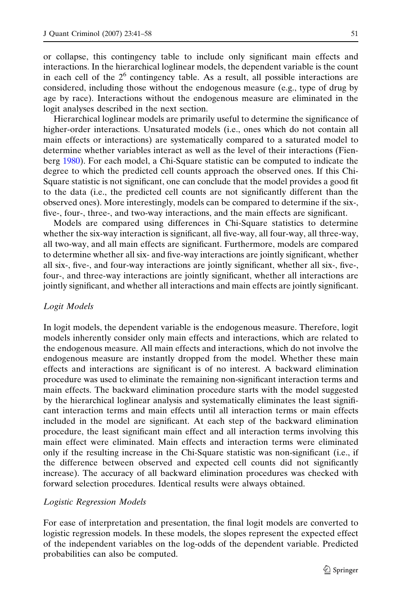or collapse, this contingency table to include only significant main effects and interactions. In the hierarchical loglinear models, the dependent variable is the count in each cell of the  $2<sup>6</sup>$  contingency table. As a result, all possible interactions are considered, including those without the endogenous measure (e.g., type of drug by age by race). Interactions without the endogenous measure are eliminated in the logit analyses described in the next section.

Hierarchical loglinear models are primarily useful to determine the significance of higher-order interactions. Unsaturated models (i.e., ones which do not contain all main effects or interactions) are systematically compared to a saturated model to determine whether variables interact as well as the level of their interactions (Fienberg [1980\)](#page-17-0). For each model, a Chi-Square statistic can be computed to indicate the degree to which the predicted cell counts approach the observed ones. If this Chi-Square statistic is not significant, one can conclude that the model provides a good fit to the data (i.e., the predicted cell counts are not significantly different than the observed ones). More interestingly, models can be compared to determine if the six-, five-, four-, three-, and two-way interactions, and the main effects are significant.

Models are compared using differences in Chi-Square statistics to determine whether the six-way interaction is significant, all five-way, all four-way, all three-way, all two-way, and all main effects are significant. Furthermore, models are compared to determine whether all six- and five-way interactions are jointly significant, whether all six-, five-, and four-way interactions are jointly significant, whether all six-, five-, four-, and three-way interactions are jointly significant, whether all interactions are jointly significant, and whether all interactions and main effects are jointly significant.

#### Logit Models

In logit models, the dependent variable is the endogenous measure. Therefore, logit models inherently consider only main effects and interactions, which are related to the endogenous measure. All main effects and interactions, which do not involve the endogenous measure are instantly dropped from the model. Whether these main effects and interactions are significant is of no interest. A backward elimination procedure was used to eliminate the remaining non-significant interaction terms and main effects. The backward elimination procedure starts with the model suggested by the hierarchical loglinear analysis and systematically eliminates the least significant interaction terms and main effects until all interaction terms or main effects included in the model are significant. At each step of the backward elimination procedure, the least significant main effect and all interaction terms involving this main effect were eliminated. Main effects and interaction terms were eliminated only if the resulting increase in the Chi-Square statistic was non-significant (i.e., if the difference between observed and expected cell counts did not significantly increase). The accuracy of all backward elimination procedures was checked with forward selection procedures. Identical results were always obtained.

## Logistic Regression Models

For ease of interpretation and presentation, the final logit models are converted to logistic regression models. In these models, the slopes represent the expected effect of the independent variables on the log-odds of the dependent variable. Predicted probabilities can also be computed.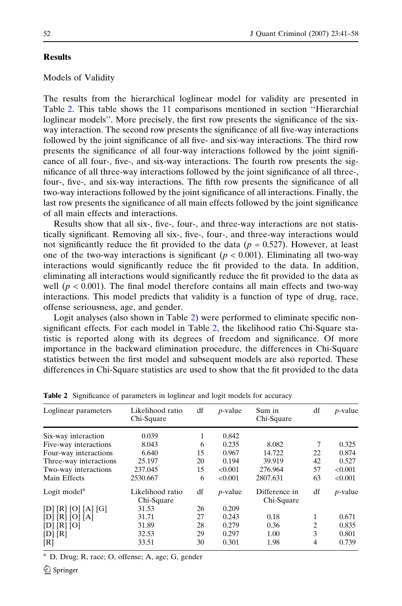#### Results

## Models of Validity

The results from the hierarchical loglinear model for validity are presented in Table 2. This table shows the 11 comparisons mentioned in section ''Hierarchial loglinear models''. More precisely, the first row presents the significance of the sixway interaction. The second row presents the significance of all five-way interactions followed by the joint significance of all five- and six-way interactions. The third row presents the significance of all four-way interactions followed by the joint significance of all four-, five-, and six-way interactions. The fourth row presents the significance of all three-way interactions followed by the joint significance of all three-, four-, five-, and six-way interactions. The fifth row presents the significance of all two-way interactions followed by the joint significance of all interactions. Finally, the last row presents the significance of all main effects followed by the joint significance of all main effects and interactions.

Results show that all six-, five-, four-, and three-way interactions are not statistically significant. Removing all six-, five-, four-, and three-way interactions would not significantly reduce the fit provided to the data ( $p = 0.527$ ). However, at least one of the two-way interactions is significant ( $p < 0.001$ ). Eliminating all two-way interactions would significantly reduce the fit provided to the data. In addition, eliminating all interactions would significantly reduce the fit provided to the data as well ( $p < 0.001$ ). The final model therefore contains all main effects and two-way interactions. This model predicts that validity is a function of type of drug, race, offense seriousness, age, and gender.

Logit analyses (also shown in Table 2) were performed to eliminate specific nonsignificant effects. For each model in Table 2, the likelihood ratio Chi-Square statistic is reported along with its degrees of freedom and significance. Of more importance in the backward elimination procedure, the differences in Chi-Square statistics between the first model and subsequent models are also reported. These differences in Chi-Square statistics are used to show that the fit provided to the data

| Loglinear parameters     | Likelihood ratio<br>Chi-Square | df | $p$ -value | Sum in<br>Chi-Square        | df             | $p$ -value |
|--------------------------|--------------------------------|----|------------|-----------------------------|----------------|------------|
| Six-way interaction      | 0.039                          | 1  | 0.842      |                             |                |            |
| Five-way interactions    | 8.043                          | 6  | 0.235      | 8.082                       | 7              | 0.325      |
| Four-way interactions    | 6.640                          | 15 | 0.967      | 14.722                      | 22             | 0.874      |
| Three-way interactions   | 25.197                         | 20 | 0.194      | 39.919                      | 42             | 0.527      |
| Two-way interactions     | 237.045                        | 15 | < 0.001    | 276.964                     | 57             | < 0.001    |
| Main Effects             | 2530.667                       | 6  | < 0.001    | 2807.631                    | 63             | < 0.001    |
| Logit model <sup>a</sup> | Likelihood ratio<br>Chi-Square | df | $p$ -value | Difference in<br>Chi-Square | df             | $p$ -value |
| [D] [R] [O] [A] [G]      | 31.53                          | 26 | 0.209      |                             |                |            |
| [D] [R] [O] [A]          | 31.71                          | 27 | 0.243      | 0.18                        | 1              | 0.671      |
| $[D] [R] [O]$            | 31.89                          | 28 | 0.279      | 0.36                        | $\overline{c}$ | 0.835      |
| [D] [R]                  | 32.53                          | 29 | 0.297      | 1.00                        | 3              | 0.801      |
| [R]                      | 33.51                          | 30 | 0.301      | 1.98                        | 4              | 0.739      |

Table 2 Significance of parameters in loglinear and logit models for accuracy

D, Drug; R, race; O, offense; A, age; G, gender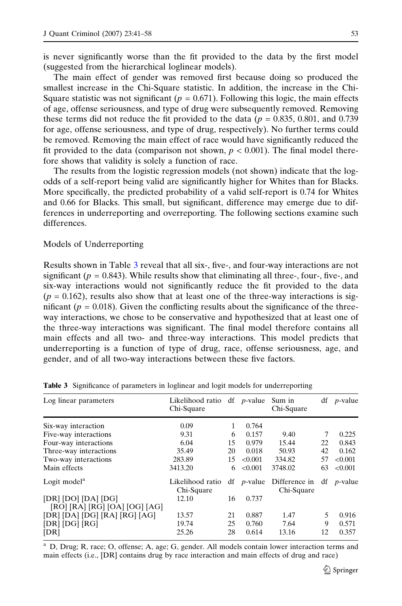<span id="page-12-0"></span>is never significantly worse than the fit provided to the data by the first model (suggested from the hierarchical loglinear models).

The main effect of gender was removed first because doing so produced the smallest increase in the Chi-Square statistic. In addition, the increase in the Chi-Square statistic was not significant ( $p = 0.671$ ). Following this logic, the main effects of age, offense seriousness, and type of drug were subsequently removed. Removing these terms did not reduce the fit provided to the data ( $p = 0.835, 0.801,$  and 0.739 for age, offense seriousness, and type of drug, respectively). No further terms could be removed. Removing the main effect of race would have significantly reduced the fit provided to the data (comparison not shown,  $p < 0.001$ ). The final model therefore shows that validity is solely a function of race.

The results from the logistic regression models (not shown) indicate that the logodds of a self-report being valid are significantly higher for Whites than for Blacks. More specifically, the predicted probability of a valid self-report is 0.74 for Whites and 0.66 for Blacks. This small, but significant, difference may emerge due to differences in underreporting and overreporting. The following sections examine such differences.

## Models of Underreporting

Results shown in Table 3 reveal that all six-, five-, and four-way interactions are not significant ( $p = 0.843$ ). While results show that eliminating all three-, four-, five-, and six-way interactions would not significantly reduce the fit provided to the data  $(p = 0.162)$ , results also show that at least one of the three-way interactions is significant ( $p = 0.018$ ). Given the conflicting results about the significance of the threeway interactions, we chose to be conservative and hypothesized that at least one of the three-way interactions was significant. The final model therefore contains all main effects and all two- and three-way interactions. This model predicts that underreporting is a function of type of drug, race, offense seriousness, age, and gender, and of all two-way interactions between these five factors.

| Log linear parameters                                        | Likelihood ratio $df$ <i>p</i> -value<br>Chi-Square |    |         | Sum in<br>Chi-Square                             | df | <i>p</i> -value      |
|--------------------------------------------------------------|-----------------------------------------------------|----|---------|--------------------------------------------------|----|----------------------|
| Six-way interaction                                          | 0.09                                                |    | 0.764   |                                                  |    |                      |
| Five-way interactions                                        | 9.31                                                | 6  | 0.157   | 9.40                                             |    | 0.225                |
| Four-way interactions                                        | 6.04                                                | 15 | 0.979   | 15.44                                            | 22 | 0.843                |
| Three-way interactions                                       | 35.49                                               | 20 | 0.018   | 50.93                                            | 42 | 0.162                |
| Two-way interactions                                         | 283.89                                              | 15 | < 0.001 | 334.82                                           | 57 | < 0.001              |
| Main effects                                                 | 3413.20                                             | 6  | < 0.001 | 3748.02                                          | 63 | < 0.001              |
| Logit model <sup>a</sup>                                     | Likelihood ratio<br>Chi-Square                      |    |         | $df$ <i>p</i> -value Difference in<br>Chi-Square |    | $df$ <i>p</i> -value |
| $[DR]$ $[DO]$ $[DA]$ $[DG]$<br>[RO] [RA] [RG] [OA] [OG] [AG] | 12.10                                               | 16 | 0.737   |                                                  |    |                      |
| [DR] [DA] [DG] [RA] [RG] [AG]                                | 13.57                                               | 21 | 0.887   | 1.47                                             | 5  | 0.916                |
| $[DR]$ $[DG]$ $[RG]$                                         | 19.74                                               | 25 | 0.760   | 7.64                                             | 9  | 0.571                |
| [DR]                                                         | 25.26                                               | 28 | 0.614   | 13.16                                            | 12 | 0.357                |

Table 3 Significance of parameters in loglinear and logit models for underreporting

<sup>a</sup> D, Drug; R, race; O, offense; A, age; G, gender. All models contain lower interaction terms and main effects (i.e., [DR] contains drug by race interaction and main effects of drug and race)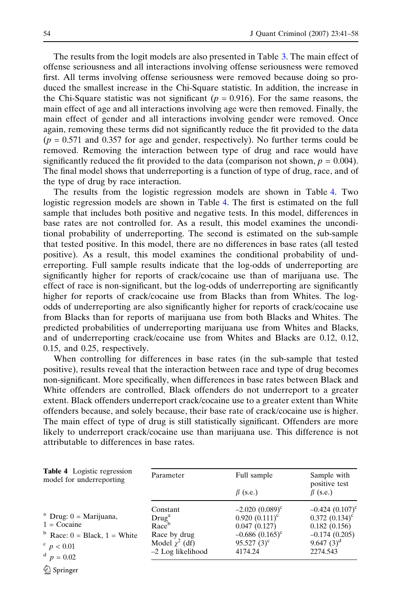The results from the logit models are also presented in Table [3.](#page-12-0) The main effect of offense seriousness and all interactions involving offense seriousness were removed first. All terms involving offense seriousness were removed because doing so produced the smallest increase in the Chi-Square statistic. In addition, the increase in the Chi-Square statistic was not significant ( $p = 0.916$ ). For the same reasons, the main effect of age and all interactions involving age were then removed. Finally, the main effect of gender and all interactions involving gender were removed. Once again, removing these terms did not significantly reduce the fit provided to the data  $(p = 0.571$  and 0.357 for age and gender, respectively). No further terms could be removed. Removing the interaction between type of drug and race would have significantly reduced the fit provided to the data (comparison not shown,  $p = 0.004$ ). The final model shows that underreporting is a function of type of drug, race, and of the type of drug by race interaction.

The results from the logistic regression models are shown in Table 4. Two logistic regression models are shown in Table 4. The first is estimated on the full sample that includes both positive and negative tests. In this model, differences in base rates are not controlled for. As a result, this model examines the unconditional probability of underreporting. The second is estimated on the sub-sample that tested positive. In this model, there are no differences in base rates (all tested positive). As a result, this model examines the conditional probability of underreporting. Full sample results indicate that the log-odds of underreporting are significantly higher for reports of crack/cocaine use than of marijuana use. The effect of race is non-significant, but the log-odds of underreporting are significantly higher for reports of crack/cocaine use from Blacks than from Whites. The logodds of underreporting are also significantly higher for reports of crack/cocaine use from Blacks than for reports of marijuana use from both Blacks and Whites. The predicted probabilities of underreporting marijuana use from Whites and Blacks, and of underreporting crack/cocaine use from Whites and Blacks are 0.12, 0.12, 0.15, and 0.25, respectively.

When controlling for differences in base rates (in the sub-sample that tested positive), results reveal that the interaction between race and type of drug becomes non-significant. More specifically, when differences in base rates between Black and White offenders are controlled, Black offenders do not underreport to a greater extent. Black offenders underreport crack/cocaine use to a greater extent than White offenders because, and solely because, their base rate of crack/cocaine use is higher. The main effect of type of drug is still statistically significant. Offenders are more likely to underreport crack/cocaine use than marijuana use. This difference is not attributable to differences in base rates.

| <b>Table 4</b> Logistic regression<br>model for underreporting                                                   | Parameter                                                                                                        | Full sample<br>$\beta$ (s.e.)                                                                                 | Sample with<br>positive test<br>$\beta$ (s.e.)                                                                 |
|------------------------------------------------------------------------------------------------------------------|------------------------------------------------------------------------------------------------------------------|---------------------------------------------------------------------------------------------------------------|----------------------------------------------------------------------------------------------------------------|
| <sup>a</sup> Drug: $0 =$ Marijuana,<br>$1 = Cocaine$<br>$b$ Race: 0 = Black, 1 = White<br>p < 0.01<br>$p = 0.02$ | Constant<br>Drug <sup>a</sup><br>Race <sup>b</sup><br>Race by drug<br>Model $\gamma^2$ (df)<br>-2 Log likelihood | $-2.020(0.089)^{\circ}$<br>$0.920(0.111)^c$<br>0.047(0.127)<br>$-0.686~(0.165)^c$<br>$95.527(3)^c$<br>4174.24 | $-0.424$ $(0.107)^{\circ}$<br>$0.372(0.134)^c$<br>0.182(0.156)<br>$-0.174(0.205)$<br>9.647 $(3)^d$<br>2274.543 |

 $\mathcal{D}$  Springer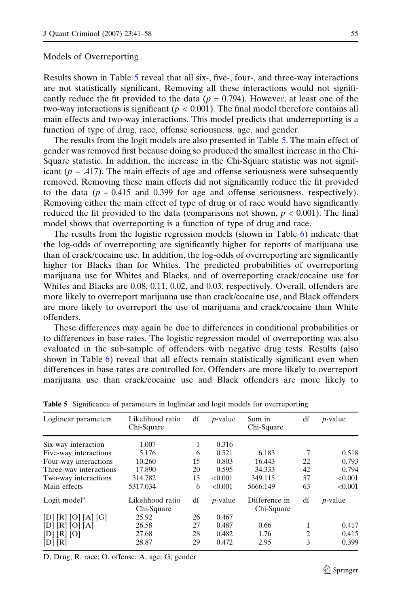#### Models of Overreporting

Results shown in Table 5 reveal that all six-, five-, four-, and three-way interactions are not statistically significant. Removing all these interactions would not significantly reduce the fit provided to the data ( $p = 0.794$ ). However, at least one of the two-way interactions is significant ( $p < 0.001$ ). The final model therefore contains all main effects and two-way interactions. This model predicts that underreporting is a function of type of drug, race, offense seriousness, age, and gender.

The results from the logit models are also presented in Table 5. The main effect of gender was removed first because doing so produced the smallest increase in the Chi-Square statistic. In addition, the increase in the Chi-Square statistic was not significant ( $p = .417$ ). The main effects of age and offense seriousness were subsequently removed. Removing these main effects did not significantly reduce the fit provided to the data  $(p = 0.415$  and 0.399 for age and offense seriousness, respectively). Removing either the main effect of type of drug or of race would have significantly reduced the fit provided to the data (comparisons not shown,  $p < 0.001$ ). The final model shows that overreporting is a function of type of drug and race.

The results from the logistic regression models (shown in Table [6](#page-15-0)) indicate that the log-odds of overreporting are significantly higher for reports of marijuana use than of crack/cocaine use. In addition, the log-odds of overreporting are significantly higher for Blacks than for Whites. The predicted probabilities of overreporting marijuana use for Whites and Blacks, and of overreporting crack/cocaine use for Whites and Blacks are 0.08, 0.11, 0.02, and 0.03, respectively. Overall, offenders are more likely to overreport marijuana use than crack/cocaine use, and Black offenders are more likely to overreport the use of marijuana and crack/cocaine than White offenders.

These differences may again be due to differences in conditional probabilities or to differences in base rates. The logistic regression model of overreporting was also evaluated in the sub-sample of offenders with negative drug tests. Results (also shown in Table [6\)](#page-15-0) reveal that all effects remain statistically significant even when differences in base rates are controlled for. Offenders are more likely to overreport marijuana use than crack/cocaine use and Black offenders are more likely to

| Loglinear parameters     | Likelihood ratio<br>Chi-Square | df | $p$ -value      | Sum in<br>Chi-Square        | df             | <i>p</i> -value |
|--------------------------|--------------------------------|----|-----------------|-----------------------------|----------------|-----------------|
| Six-way interaction      | 1.007                          | 1  | 0.316           |                             |                |                 |
| Five-way interactions    | 5.176                          | 6  | 0.521           | 6.183                       | 7              | 0.518           |
| Four-way interactions    | 10.260                         | 15 | 0.803           | 16.443                      | 22             | 0.793           |
| Three-way interactions   | 17.890                         | 20 | 0.595           | 34.333                      | 42             | 0.794           |
| Two-way interactions     | 314.782                        | 15 | < 0.001         | 349.115                     | 57             | < 0.001         |
| Main effects             | 5317.034                       | 6  | < 0.001         | 5666.149                    | 63             | < 0.001         |
| Logit model <sup>a</sup> | Likelihood ratio<br>Chi-Square | df | <i>p</i> -value | Difference in<br>Chi-Square | df             | <i>p</i> -value |
| [D] [R] [O] [A] [G]      | 25.92                          | 26 | 0.467           |                             |                |                 |
| $[D] [R] [O] [A]$        | 26.58                          | 27 | 0.487           | 0.66                        | 1              | 0.417           |
| [D] [R] [O]              | 27.68                          | 28 | 0.482           | 1.76                        | $\mathfrak{D}$ | 0.415           |
| [D] [R]                  | 28.87                          | 29 | 0.472           | 2.95                        | 3              | 0.399           |

Table 5 Significance of parameters in loglinear and logit models for overreporting

D, Drug; R, race; O, offense; A, age; G, gender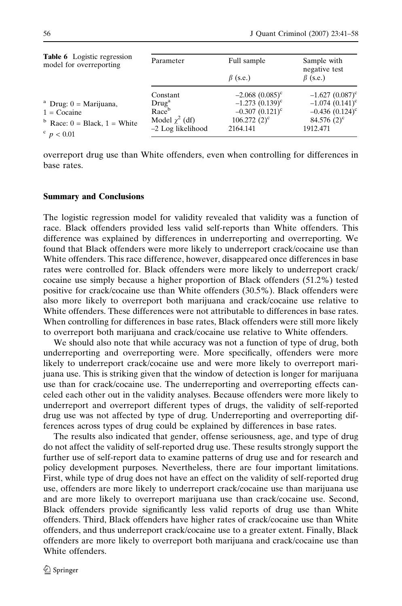<span id="page-15-0"></span>

| Table 6 Logistic regression<br>model for overreporting | Parameter           | Full sample                | Sample with<br>negative test |  |  |  |  |
|--------------------------------------------------------|---------------------|----------------------------|------------------------------|--|--|--|--|
|                                                        |                     | $\beta$ (s.e.)             | $\beta$ (s.e.)               |  |  |  |  |
|                                                        | Constant            | $-2.068(0.085)^{\circ}$    | $-1.627(0.087)^{\circ}$      |  |  |  |  |
| <sup>a</sup> Drug: $0 =$ Marijuana,                    | Drug <sup>a</sup>   | $-1.273$ $(0.139)^{\circ}$ | $-1.074$ $(0.141)^c$         |  |  |  |  |
| $1 = Cocaine$                                          | Race <sup>b</sup>   | $-0.307(0.121)^c$          | $-0.436$ $(0.124)^{\circ}$   |  |  |  |  |
|                                                        |                     | $106.272(2)^c$             | $84.576(2)^c$                |  |  |  |  |
| p < 0.01                                               | -2 Log likelihood   | 2164.141                   | 1912.471                     |  |  |  |  |
| $b$ Race: 0 = Black, 1 = White                         | Model $\chi^2$ (df) |                            |                              |  |  |  |  |

overreport drug use than White offenders, even when controlling for differences in base rates.

## Summary and Conclusions

The logistic regression model for validity revealed that validity was a function of race. Black offenders provided less valid self-reports than White offenders. This difference was explained by differences in underreporting and overreporting. We found that Black offenders were more likely to underreport crack/cocaine use than White offenders. This race difference, however, disappeared once differences in base rates were controlled for. Black offenders were more likely to underreport crack/ cocaine use simply because a higher proportion of Black offenders (51.2%) tested positive for crack/cocaine use than White offenders (30.5%). Black offenders were also more likely to overreport both marijuana and crack/cocaine use relative to White offenders. These differences were not attributable to differences in base rates. When controlling for differences in base rates, Black offenders were still more likely to overreport both marijuana and crack/cocaine use relative to White offenders.

We should also note that while accuracy was not a function of type of drug, both underreporting and overreporting were. More specifically, offenders were more likely to underreport crack/cocaine use and were more likely to overreport marijuana use. This is striking given that the window of detection is longer for marijuana use than for crack/cocaine use. The underreporting and overreporting effects canceled each other out in the validity analyses. Because offenders were more likely to underreport and overreport different types of drugs, the validity of self-reported drug use was not affected by type of drug. Underreporting and overreporting differences across types of drug could be explained by differences in base rates.

The results also indicated that gender, offense seriousness, age, and type of drug do not affect the validity of self-reported drug use. These results strongly support the further use of self-report data to examine patterns of drug use and for research and policy development purposes. Nevertheless, there are four important limitations. First, while type of drug does not have an effect on the validity of self-reported drug use, offenders are more likely to underreport crack/cocaine use than marijuana use and are more likely to overreport marijuana use than crack/cocaine use. Second, Black offenders provide significantly less valid reports of drug use than White offenders. Third, Black offenders have higher rates of crack/cocaine use than White offenders, and thus underreport crack/cocaine use to a greater extent. Finally, Black offenders are more likely to overreport both marijuana and crack/cocaine use than White offenders.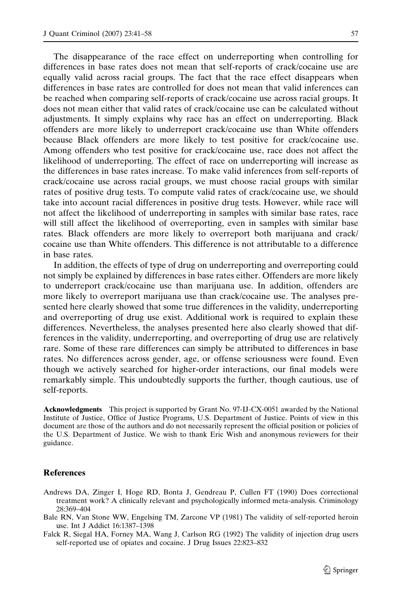<span id="page-16-0"></span>The disappearance of the race effect on underreporting when controlling for differences in base rates does not mean that self-reports of crack/cocaine use are equally valid across racial groups. The fact that the race effect disappears when differences in base rates are controlled for does not mean that valid inferences can be reached when comparing self-reports of crack/cocaine use across racial groups. It does not mean either that valid rates of crack/cocaine use can be calculated without adjustments. It simply explains why race has an effect on underreporting. Black offenders are more likely to underreport crack/cocaine use than White offenders because Black offenders are more likely to test positive for crack/cocaine use. Among offenders who test positive for crack/cocaine use, race does not affect the likelihood of underreporting. The effect of race on underreporting will increase as the differences in base rates increase. To make valid inferences from self-reports of crack/cocaine use across racial groups, we must choose racial groups with similar rates of positive drug tests. To compute valid rates of crack/cocaine use, we should take into account racial differences in positive drug tests. However, while race will not affect the likelihood of underreporting in samples with similar base rates, race will still affect the likelihood of overreporting, even in samples with similar base rates. Black offenders are more likely to overreport both marijuana and crack/ cocaine use than White offenders. This difference is not attributable to a difference in base rates.

In addition, the effects of type of drug on underreporting and overreporting could not simply be explained by differences in base rates either. Offenders are more likely to underreport crack/cocaine use than marijuana use. In addition, offenders are more likely to overreport marijuana use than crack/cocaine use. The analyses presented here clearly showed that some true differences in the validity, underreporting and overreporting of drug use exist. Additional work is required to explain these differences. Nevertheless, the analyses presented here also clearly showed that differences in the validity, underreporting, and overreporting of drug use are relatively rare. Some of these rare differences can simply be attributed to differences in base rates. No differences across gender, age, or offense seriousness were found. Even though we actively searched for higher-order interactions, our final models were remarkably simple. This undoubtedly supports the further, though cautious, use of self-reports.

Acknowledgments This project is supported by Grant No. 97-IJ-CX-0051 awarded by the National Institute of Justice, Office of Justice Programs, U.S. Department of Justice. Points of view in this document are those of the authors and do not necessarily represent the official position or policies of the U.S. Department of Justice. We wish to thank Eric Wish and anonymous reviewers for their guidance.

## **References**

- Andrews DA, Zinger I, Hoge RD, Bonta J, Gendreau P, Cullen FT (1990) Does correctional treatment work? A clinically relevant and psychologically informed meta-analysis. Criminology 28:369–404
- Bale RN, Van Stone WW, Engelsing TM, Zarcone VP (1981) The validity of self-reported heroin use. Int J Addict 16:1387–1398
- Falck R, Siegal HA, Forney MA, Wang J, Carlson RG (1992) The validity of injection drug users self-reported use of opiates and cocaine. J Drug Issues 22:823–832